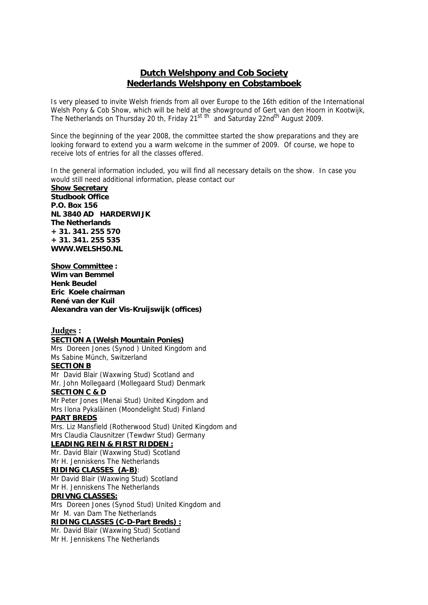## **Dutch Welshpony and Cob Society Nederlands Welshpony en Cobstamboek**

Is very pleased to invite Welsh friends from all over Europe to the 16th edition of the International Welsh Pony & Cob Show, which will be held at the showground of Gert van den Hoorn in Kootwijk, The Netherlands on Thursday 20 th, Friday 21<sup>st th</sup> and Saturday 22nd<sup>th</sup> August 2009.

Since the beginning of the year 2008, the committee started the show preparations and they are looking forward to extend you a warm welcome in the summer of 2009. Of course, we hope to receive lots of entries for all the classes offered.

In the general information included, you will find all necessary details on the show. In case you would still need additional information, please contact our

**Show Secretary Studbook Office P.O. Box 156 NL 3840 AD HARDERWIJK The Netherlands + 31. 341. 255 570 + 31. 341. 255 535 WWW.WELSH50.NL** 

#### **Show Committee :**

**Wim van Bemmel Henk Beudel Eric Koele chairman René van der Kuil Alexandra van der Vis-Kruijswijk (offices)** 

## **Judges :**

#### **SECTION A (Welsh Mountain Ponies)**

Mrs Doreen Jones (Synod ) United Kingdom and Ms Sabine Münch, Switzerland

## **SECTION B**

Mr David Blair (Waxwing Stud) Scotland and Mr. John Mollegaard (Mollegaard Stud) Denmark **SECTION C & D** 

Mr Peter Jones (Menai Stud) United Kingdom and Mrs Ilona Pykaläinen (Moondelight Stud) Finland

## **PART BREDS**

Mrs. Liz Mansfield (Rotherwood Stud) United Kingdom and Mrs Claudia Clausnitzer (Tewdwr Stud) Germany

## **LEADING REIN & FIRST RIDDEN :**

Mr. David Blair (Waxwing Stud) Scotland

Mr H. Jenniskens The Netherlands

## **RIDING CLASSES (A-B)**:

Mr David Blair (Waxwing Stud) Scotland Mr H. Jenniskens The Netherlands

## **DRIVNG CLASSES:**

Mrs Doreen Jones (Synod Stud) United Kingdom and Mr M. van Dam The Netherlands

## **RIDING CLASSES (C-D-Part Breds) :**

Mr. David Blair (Waxwing Stud) Scotland Mr H. Jenniskens The Netherlands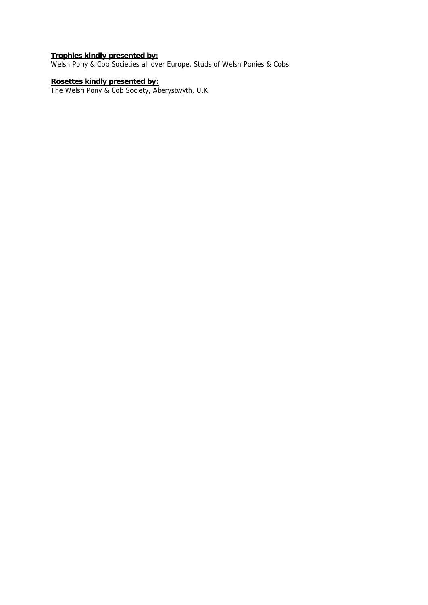### **Trophies kindly presented by:**

Welsh Pony & Cob Societies all over Europe, Studs of Welsh Ponies & Cobs.

#### **Rosettes kindly presented by:**

The Welsh Pony & Cob Society, Aberystwyth, U.K.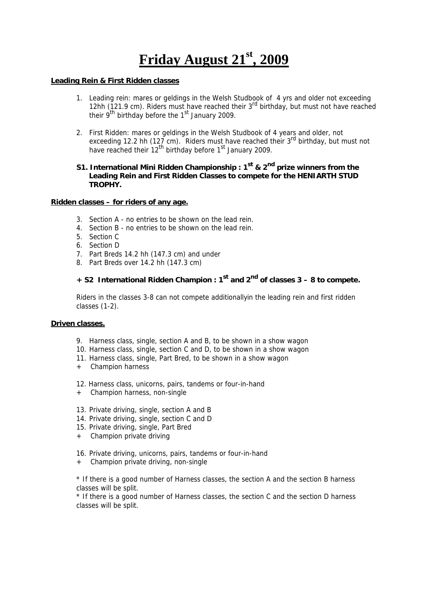## **Friday August 21st, 2009**

#### **Leading Rein & First Ridden classes**

- 1. Leading rein: mares or geldings in the Welsh Studbook of 4 yrs and older not exceeding 12hh (121.9 cm). Riders must have reached their 3<sup>rd</sup> birthday, but must not have reached their 9<sup>th</sup> birthday before the 1<sup>st</sup> January 2009.
- 2. First Ridden: mares or geldings in the Welsh Studbook of 4 years and older, not exceeding 12.2 hh (127 cm). Riders must have reached their 3<sup>rd</sup> birthday, but must not have reached their 12<sup>th</sup> birthday before 1<sup>st</sup> January 2009.

## **S1. International Mini Ridden Championship : 1st & 2nd prize winners from the Leading Rein and First Ridden Classes to compete for the HENIARTH STUD TROPHY.**

#### **Ridden classes – for riders of any age.**

- 3. Section A no entries to be shown on the lead rein.
- 4. Section B no entries to be shown on the lead rein.
- 5. Section C
- 6. Section D
- 7. Part Breds 14.2 hh (147.3 cm) and under
- 8. Part Breds over 14.2 hh (147.3 cm)

## **+ S2 International Ridden Champion : 1st and 2nd of classes 3 – 8 to compete.**

 Riders in the classes 3-8 can not compete additionallyin the leading rein and first ridden classes (1-2).

### **Driven classes.**

- 9. Harness class, single, section A and B, to be shown in a show wagon
- 10. Harness class, single, section C and D, to be shown in a show wagon
- 11. Harness class, single, Part Bred, to be shown in a show wagon
- + Champion harness
- 12. Harness class, unicorns, pairs, tandems or four-in-hand
- + Champion harness, non-single
- 13. Private driving, single, section A and B
- 14. Private driving, single, section C and D
- 15. Private driving, single, Part Bred
- + Champion private driving
- 16. Private driving, unicorns, pairs, tandems or four-in-hand
- + Champion private driving, non-single

\* If there is a good number of Harness classes, the section A and the section B harness classes will be split.

\* If there is a good number of Harness classes, the section C and the section D harness classes will be split.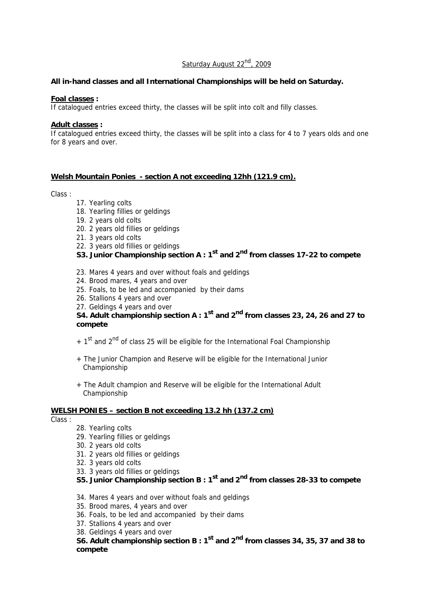## Saturday August 22<sup>nd</sup>, 2009

## **All in-hand classes and all International Championships will be held on Saturday.**

#### **Foal classes :**

If catalogued entries exceed thirty, the classes will be split into colt and filly classes.

#### **Adult classes :**

If catalogued entries exceed thirty, the classes will be split into a class for 4 to 7 years olds and one for 8 years and over.

## **Welsh Mountain Ponies - section A not exceeding 12hh (121.9 cm).**

#### Class :

- 17. Yearling colts
- 18. Yearling fillies or geldings
- 19. 2 years old colts
- 20. 2 years old fillies or geldings
- 21. 3 years old colts
- 22. 3 years old fillies or geldings

## **S3. Junior Championship section A : 1<sup>st</sup> and 2<sup>nd</sup> from classes 17-22 to compete**

- 23. Mares 4 years and over without foals and geldings
- 24. Brood mares, 4 years and over
- 25. Foals, to be led and accompanied by their dams
- 26. Stallions 4 years and over
- 27. Geldings 4 years and over

## **S4. Adult championship section A : 1st and 2nd from classes 23, 24, 26 and 27 to compete**

- $+ 1<sup>st</sup>$  and 2<sup>nd</sup> of class 25 will be eligible for the International Foal Championship
- + The Junior Champion and Reserve will be eligible for the International Junior Championship
- + The Adult champion and Reserve will be eligible for the International Adult Championship

## **WELSH PONIES – section B not exceeding 13.2 hh (137.2 cm)**

Class :

- 28. Yearling colts
- 29. Yearling fillies or geldings
- 30. 2 years old colts
- 31. 2 years old fillies or geldings
- 32. 3 years old colts
- 33. 3 years old fillies or geldings
- **S5. Junior Championship section B : 1st and 2nd from classes 28-33 to compete**
- 34. Mares 4 years and over without foals and geldings
- 35. Brood mares, 4 years and over
- 36. Foals, to be led and accompanied by their dams
- 37. Stallions 4 years and over
- 38. Geldings 4 years and over

**S6. Adult championship section B : 1st and 2nd from classes 34, 35, 37 and 38 to compete**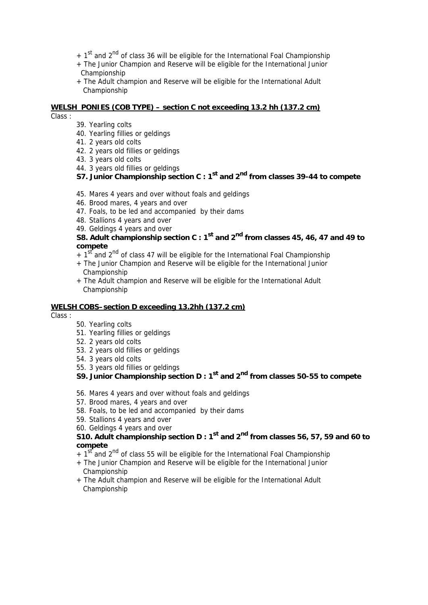- $+ 1<sup>st</sup>$  and 2<sup>nd</sup> of class 36 will be eligible for the International Foal Championship
- + The Junior Champion and Reserve will be eligible for the International Junior Championship
- + The Adult champion and Reserve will be eligible for the International Adult Championship

#### **WELSH PONIES (COB TYPE) – section C not exceeding 13.2 hh (137.2 cm)**

Class :

- 39. Yearling colts
- 40. Yearling fillies or geldings
- 41. 2 years old colts
- 42. 2 years old fillies or geldings
- 43. 3 years old colts
- 44. 3 years old fillies or geldings
- **S7. Junior Championship section C : 1st and 2nd from classes 39-44 to compete**
- 45. Mares 4 years and over without foals and geldings
- 46. Brood mares, 4 years and over
- 47. Foals, to be led and accompanied by their dams
- 48. Stallions 4 years and over
- 49. Geldings 4 years and over

## **S8. Adult championship section C : 1st and 2nd from classes 45, 46, 47 and 49 to compete**

- $+ 1<sup>st</sup>$  and 2<sup>nd</sup> of class 47 will be eligible for the International Foal Championship
- + The Junior Champion and Reserve will be eligible for the International Junior Championship
- + The Adult champion and Reserve will be eligible for the International Adult Championship

## **WELSH COBS–section D exceeding 13.2hh (137.2 cm)**

Class :

- 50. Yearling colts
- 51. Yearling fillies or geldings
- 52. 2 years old colts
- 53. 2 years old fillies or geldings
- 54. 3 years old colts
- 55. 3 years old fillies or geldings
- **S9. Junior Championship section D : 1st and 2nd from classes 50-55 to compete**
- 56. Mares 4 years and over without foals and geldings
- 57. Brood mares, 4 years and over
- 58. Foals, to be led and accompanied by their dams
- 59. Stallions 4 years and over
- 60. Geldings 4 years and over

## **S10. Adult championship section D : 1st and 2nd from classes 56, 57, 59 and 60 to compete**

- $+1<sup>st</sup>$  and 2<sup>nd</sup> of class 55 will be eligible for the International Foal Championship
- + The Junior Champion and Reserve will be eligible for the International Junior Championship
- + The Adult champion and Reserve will be eligible for the International Adult Championship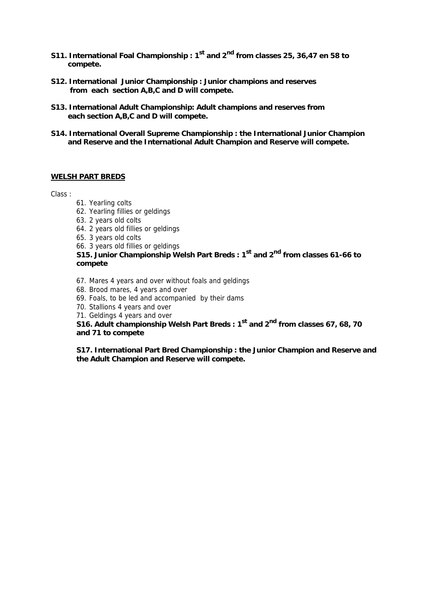- **S11. International Foal Championship : 1st and 2nd from classes 25, 36,47 en 58 to compete.**
- **S12. International Junior Championship : Junior champions and reserves from each section A,B,C and D will compete.**
- **S13. International Adult Championship: Adult champions and reserves from each section A,B,C and D will compete.**
- **S14. International Overall Supreme Championship : the International Junior Champion and Reserve and the International Adult Champion and Reserve will compete.**

## **WELSH PART BREDS**

Class :

- 61. Yearling colts
- 62. Yearling fillies or geldings
- 63. 2 years old colts
- 64. 2 years old fillies or geldings

65. 3 years old colts

66. 3 years old fillies or geldings

**S15. Junior Championship Welsh Part Breds : 1st and 2<sup>nd</sup> from classes 61-66 to compete** 

- 67. Mares 4 years and over without foals and geldings
- 68. Brood mares, 4 years and over
- 69. Foals, to be led and accompanied by their dams
- 70. Stallions 4 years and over
- 71. Geldings 4 years and over

**S16. Adult championship Welsh Part Breds : 1st and 2nd from classes 67, 68, 70 and 71 to compete** 

**S17. International Part Bred Championship : the Junior Champion and Reserve and the Adult Champion and Reserve will compete.**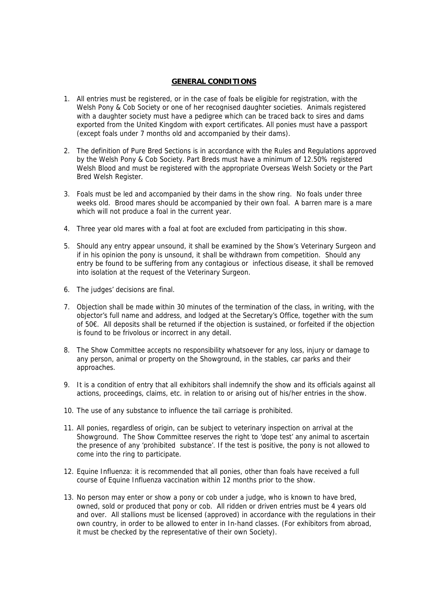## **GENERAL CONDITIONS**

- 1. All entries must be registered, or in the case of foals be eligible for registration, with the Welsh Pony & Cob Society or one of her recognised daughter societies. Animals registered with a daughter society must have a pedigree which can be traced back to sires and dams exported from the United Kingdom with export certificates. All ponies must have a passport (except foals under 7 months old and accompanied by their dams).
- 2. The definition of Pure Bred Sections is in accordance with the Rules and Regulations approved by the Welsh Pony & Cob Society. Part Breds must have a minimum of 12.50% registered Welsh Blood and must be registered with the appropriate Overseas Welsh Society or the Part Bred Welsh Register.
- 3. Foals must be led and accompanied by their dams in the show ring. No foals under three weeks old. Brood mares should be accompanied by their own foal. A barren mare is a mare which will not produce a foal in the current year.
- 4. Three year old mares with a foal at foot are excluded from participating in this show.
- 5. Should any entry appear unsound, it shall be examined by the Show's Veterinary Surgeon and if in his opinion the pony is unsound, it shall be withdrawn from competition. Should any entry be found to be suffering from any contagious or infectious disease, it shall be removed into isolation at the request of the Veterinary Surgeon.
- 6. The judges' decisions are final.
- 7. Objection shall be made within 30 minutes of the termination of the class, in writing, with the objector's full name and address, and lodged at the Secretary's Office, together with the sum of 50€. All deposits shall be returned if the objection is sustained, or forfeited if the objection is found to be frivolous or incorrect in any detail.
- 8. The Show Committee accepts no responsibility whatsoever for any loss, injury or damage to any person, animal or property on the Showground, in the stables, car parks and their approaches.
- 9. It is a condition of entry that all exhibitors shall indemnify the show and its officials against all actions, proceedings, claims, etc. in relation to or arising out of his/her entries in the show.
- 10. The use of any substance to influence the tail carriage is prohibited.
- 11. All ponies, regardless of origin, can be subject to veterinary inspection on arrival at the Showground. The Show Committee reserves the right to 'dope test' any animal to ascertain the presence of any 'prohibited substance'. If the test is positive, the pony is not allowed to come into the ring to participate.
- 12. Equine Influenza: it is recommended that all ponies, other than foals have received a full course of Equine Influenza vaccination within 12 months prior to the show.
- 13. No person may enter or show a pony or cob under a judge, who is known to have bred, owned, sold or produced that pony or cob. All ridden or driven entries must be 4 years old and over. All stallions must be licensed (approved) in accordance with the regulations in their own country, in order to be allowed to enter in In-hand classes. (For exhibitors from abroad, it must be checked by the representative of their own Society).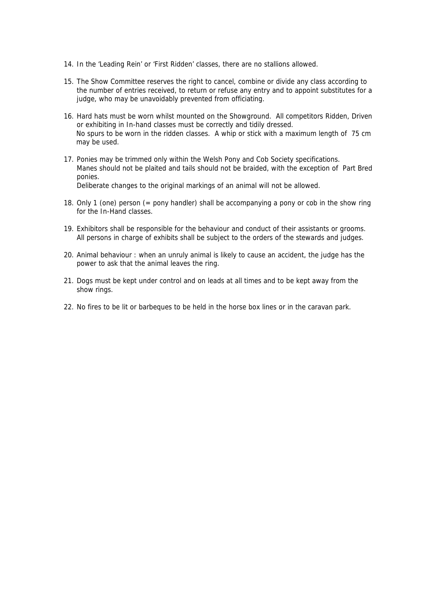- 14. In the 'Leading Rein' or 'First Ridden' classes, there are no stallions allowed.
- 15. The Show Committee reserves the right to cancel, combine or divide any class according to the number of entries received, to return or refuse any entry and to appoint substitutes for a judge, who may be unavoidably prevented from officiating.
- 16. Hard hats must be worn whilst mounted on the Showground. All competitors Ridden, Driven or exhibiting in In-hand classes must be correctly and tidily dressed. No spurs to be worn in the ridden classes. A whip or stick with a maximum length of 75 cm may be used.
- 17. Ponies may be trimmed only within the Welsh Pony and Cob Society specifications. Manes should not be plaited and tails should not be braided, with the exception of Part Bred ponies. Deliberate changes to the original markings of an animal will not be allowed.
- 18. Only 1 (one) person (= pony handler) shall be accompanying a pony or cob in the show ring for the In-Hand classes.
- 19. Exhibitors shall be responsible for the behaviour and conduct of their assistants or grooms. All persons in charge of exhibits shall be subject to the orders of the stewards and judges.
- 20. Animal behaviour : when an unruly animal is likely to cause an accident, the judge has the power to ask that the animal leaves the ring.
- 21. Dogs must be kept under control and on leads at all times and to be kept away from the show rings.
- 22. No fires to be lit or barbeques to be held in the horse box lines or in the caravan park.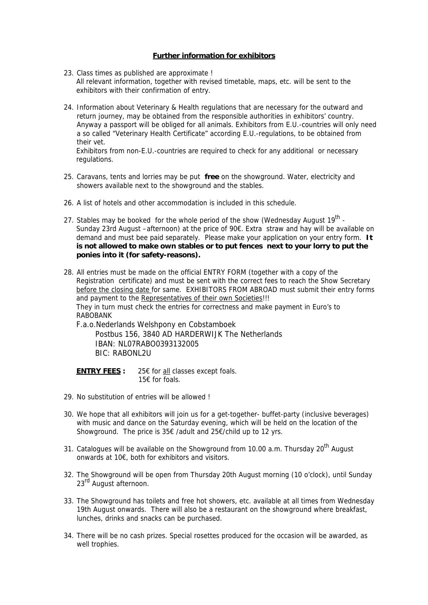## **Further information for exhibitors**

- 23. Class times as published are approximate ! All relevant information, together with revised timetable, maps, etc. will be sent to the exhibitors with their confirmation of entry.
- 24. Information about Veterinary & Health regulations that are necessary for the outward and return journey, may be obtained from the responsible authorities in exhibitors' country. Anyway a passport will be obliged for all animals. Exhibitors from E.U.-countries will only need a so called "Veterinary Health Certificate" according E.U.-regulations, to be obtained from their vet.

Exhibitors from non-E.U.-countries are required to check for any additional or necessary regulations.

- 25. Caravans, tents and lorries may be put **free** on the showground. Water, electricity and showers available next to the showground and the stables.
- 26. A list of hotels and other accommodation is included in this schedule.
- 27. Stables may be booked for the whole period of the show (Wednesday August  $19^{th}$  -Sunday 23rd August –afternoon) at the price of 90€. Extra straw and hay will be available on demand and must bee paid separately. Please make your application on your entry form. **It is not allowed to make own stables or to put fences next to your lorry to put the ponies into it (for safety-reasons).**
- 28. All entries must be made on the official ENTRY FORM (together with a copy of the Registration certificate) and must be sent with the correct fees to reach the Show Secretary before the closing date for same. EXHIBITORS FROM ABROAD must submit their entry forms and payment to the Representatives of their own Societies!!! They in turn must check the entries for correctness and make payment in Euro's to RABOBANK

F.a.o.Nederlands Welshpony en Cobstamboek Postbus 156, 3840 AD HARDERWIJK The Netherlands IBAN: NL07RABO0393132005 BIC: RABONL2U

**ENTRY FEES :** 25€ for all classes except foals. 15€ for foals.

- 29. No substitution of entries will be allowed !
- 30. We hope that all exhibitors will join us for a get-together- buffet-party (inclusive beverages) with music and dance on the Saturday evening, which will be held on the location of the Showground. The price is 35€ /adult and 25€/child up to 12 yrs.
- 31. Catalogues will be available on the Showground from 10.00 a.m. Thursday 20<sup>th</sup> August onwards at 10€, both for exhibitors and visitors.
- 32. The Showground will be open from Thursday 20th August morning (10 o'clock), until Sunday 23<sup>rd</sup> August afternoon.
- 33. The Showground has toilets and free hot showers, etc. available at all times from Wednesday 19th August onwards. There will also be a restaurant on the showground where breakfast, lunches, drinks and snacks can be purchased.
- 34. There will be no cash prizes. Special rosettes produced for the occasion will be awarded, as well trophies.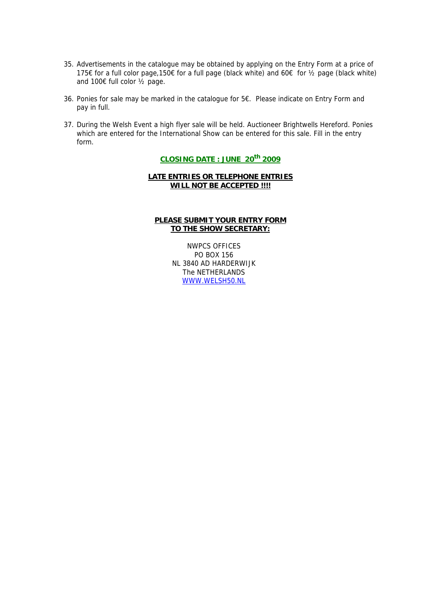- 35. Advertisements in the catalogue may be obtained by applying on the Entry Form at a price of 175€ for a full color page,150€ for a full page (black white) and 60€ for ½ page (black white) and 100€ full color ½ page.
- 36. Ponies for sale may be marked in the catalogue for 5€. Please indicate on Entry Form and pay in full.
- 37. During the Welsh Event a high flyer sale will be held. Auctioneer Brightwells Hereford. Ponies which are entered for the International Show can be entered for this sale. Fill in the entry form.

## **CLOSING DATE : JUNE 20th 2009**

## **LATE ENTRIES OR TELEPHONE ENTRIES WILL NOT BE ACCEPTED !!!!**

## **PLEASE SUBMIT YOUR ENTRY FORM TO THE SHOW SECRETARY:**

NWPCS OFFICES PO BOX 156 NL 3840 AD HARDERWIJK The NETHERLANDS WWW.WELSH50.NL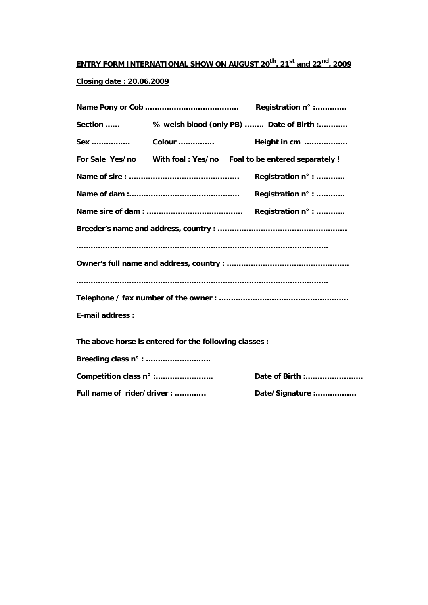# **ENTRY FORM INTERNATIONAL SHOW ON AUGUST 20th, 21st and 22nd, 2009**

## **Closing date : 20.06.2009**

| Section                     |                                                        | % welsh blood (only PB)  Date of Birth :                         |  |
|-----------------------------|--------------------------------------------------------|------------------------------------------------------------------|--|
| Sex                         | Colour                                                 | Height in cm                                                     |  |
|                             |                                                        | For Sale Yes/no With foal: Yes/no Foal to be entered separately! |  |
|                             |                                                        | Registration n° :                                                |  |
|                             |                                                        | Registration n° :                                                |  |
|                             |                                                        | Registration n° :                                                |  |
|                             |                                                        |                                                                  |  |
|                             |                                                        |                                                                  |  |
|                             |                                                        |                                                                  |  |
|                             |                                                        |                                                                  |  |
|                             |                                                        |                                                                  |  |
| <b>E-mail address:</b>      |                                                        |                                                                  |  |
|                             | The above horse is entered for the following classes : |                                                                  |  |
| Breeding class n° :         |                                                        |                                                                  |  |
|                             |                                                        |                                                                  |  |
| Competition class n° :      |                                                        | Date of Birth :                                                  |  |
| Full name of rider/driver : |                                                        | Date/Signature :                                                 |  |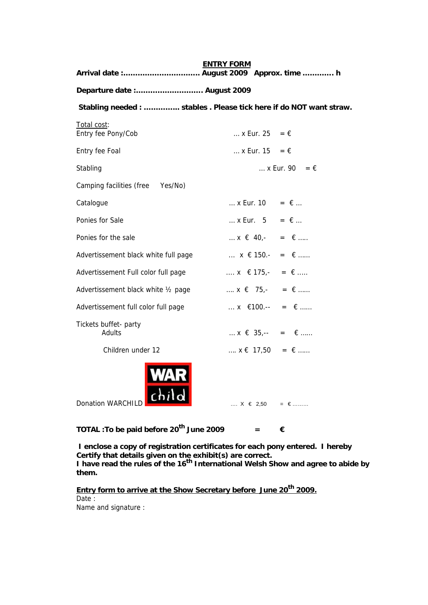**ENTRY FORM Arrival date :………………………….. August 2009 Approx. time …………. h Departure date :………………………. August 2009 Stabling needed : …………... stables . Please tick here if do NOT want straw.**  Total cost: Entry fee Pony/Cob  $\therefore$  x Eur. 25 =  $\in$ Entry fee Foal  $\therefore$  X Eur. 15 =  $\epsilon$ Stabling  $\ldots$  x Eur. 90 =  $\in$  Camping facilities (free Yes/No) Catalogue  $\qquad \qquad ... \times \text{Eur. 10} = \text{\textsterling} ...$ Ponies for Sale  $\therefore$  X Eur. 5 =  $\epsilon$  ... Ponies for the sale  $\therefore x \in 40, - \dots = \in \dots$ Advertissement black white full page  $x \in \{150\}$ .  $y = 6 \dots$ Advertissement Full color full page  $\cdots$   $x \in 175$ ,  $= \epsilon$  .... Advertissement black white  $\frac{1}{2}$  page  $\ldots$   $x \in 75,$  =  $\in$  ...... Advertissement full color full page  $\therefore$  x  $\in$  100.-- =  $\in$  ...... Tickets buffet- party Adults  $x \in 35, -2 = 6, ...$ Children under 12 ….  $x \in 17,50 = \epsilon$  ….. Donation WARCHILD  $\begin{bmatrix} 1 & 0 & 0 \\ 0 & 1 & 0 \\ 0 & 0 & 0 \end{bmatrix}$  ....  $X \in 2,50 = \epsilon$ .........

**TOTAL : To be paid before 20<sup>th</sup> June 2009**  $=$  $\epsilon$ 

 **I enclose a copy of registration certificates for each pony entered. I hereby Certify that details given on the exhibit(s) are correct.**  I have read the rules of the 16<sup>th</sup> International Welsh Show and agree to abide by **them.** 

Entry form to arrive at the Show Secretary before June 20<sup>th</sup> 2009. Date :

Name and signature :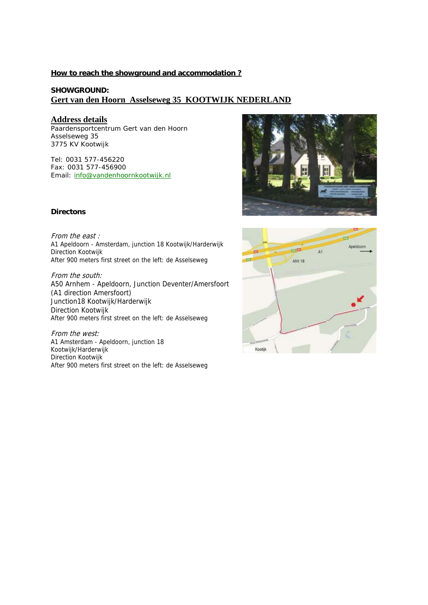### **How to reach the showground and accommodation ?**

## **SHOWGROUND: Gert van den Hoorn Asselseweg 35 KOOTWIJK NEDERLAND**

## **Address details**

Paardensportcentrum Gert van den Hoorn Asselseweg 35 3775 KV Kootwijk

Tel: 0031 577-456220 Fax: 0031 577-456900 Email: info@vandenhoornkootwijk.nl



#### **Directons**

From the east : A1 Apeldoorn - Amsterdam, junction 18 Kootwijk/Harderwijk Direction Kootwijk After 900 meters first street on the left: de Asselseweg

From the south: A50 Arnhem - Apeldoorn, Junction Deventer/Amersfoort (A1 direction Amersfoort) Junction18 Kootwijk/Harderwijk Direction Kootwijk After 900 meters first street on the left: de Asselseweg

From the west: A1 Amsterdam - Apeldoorn, junction 18 Kootwijk/Harderwijk Direction Kootwijk After 900 meters first street on the left: de Asselseweg